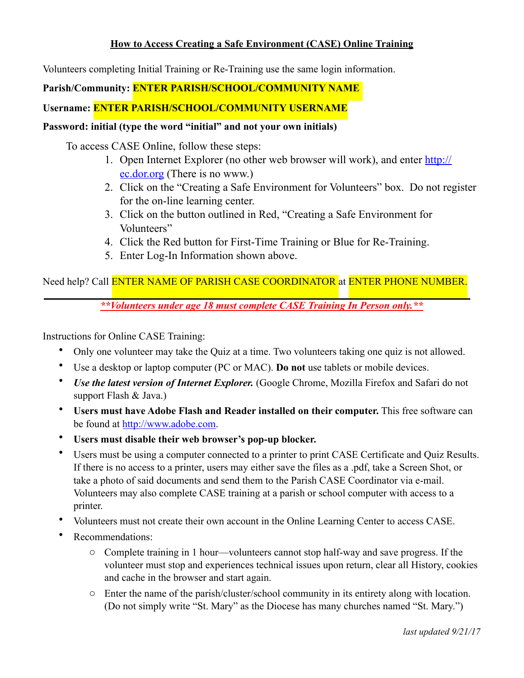#### **How to Access Creating a Safe Environment (CASE) Online Training**

Volunteers completing Initial Training or Re-Training use the same login information.

### **Parish/Community: ENTER PARISH/SCHOOL/COMMUNITY NAME**

## **Username: ENTER PARISH/SCHOOL/COMMUNITY USERNAME**

# **Password: initial (type the word "initial" and not your own initials)**

To access CASE Online, follow these steps:

- 1. [Open Internet Explorer \(no other web browser will work\), and enter http://](http://ec.dor.org) ec.dor.org (There is no www.)
- 2. Click on the "Creating a Safe Environment for Volunteers" box. Do not register for the on-line learning center.
- 3. Click on the button outlined in Red, "Creating a Safe Environment for Volunteers"
- 4. Click the Red button for First-Time Training or Blue for Re-Training.
- 5. Enter Log-In Information shown above.

# Need help? Call ENTER NAME OF PARISH CASE COORDINATOR at ENTER PHONE NUMBER.

*\*\*Volunteers under age 18 must complete CASE Training In Person only.\*\** 

Instructions for Online CASE Training:

- Only one volunteer may take the Quiz at a time. Two volunteers taking one quiz is not allowed.
- Use a desktop or laptop computer (PC or MAC). **Do not** use tablets or mobile devices.
- *Use the latest version of Internet Explorer.* (Google Chrome, Mozilla Firefox and Safari do not support Flash & Java.)
- **Users must have Adobe Flash and Reader installed on their computer.** This free software can be found at [http://www.adobe.com.](http://www.adobe.com)
- **Users must disable their web browser's pop-up blocker.**
- Users must be using a computer connected to a printer to print CASE Certificate and Quiz Results. If there is no access to a printer, users may either save the files as a .pdf, take a Screen Shot, or take a photo of said documents and send them to the Parish CASE Coordinator via e-mail. Volunteers may also complete CASE training at a parish or school computer with access to a printer.
- Volunteers must not create their own account in the Online Learning Center to access CASE.
- Recommendations:
	- o Complete training in 1 hour—volunteers cannot stop half-way and save progress. If the volunteer must stop and experiences technical issues upon return, clear all History, cookies and cache in the browser and start again.
	- o Enter the name of the parish/cluster/school community in its entirety along with location. (Do not simply write "St. Mary" as the Diocese has many churches named "St. Mary.")